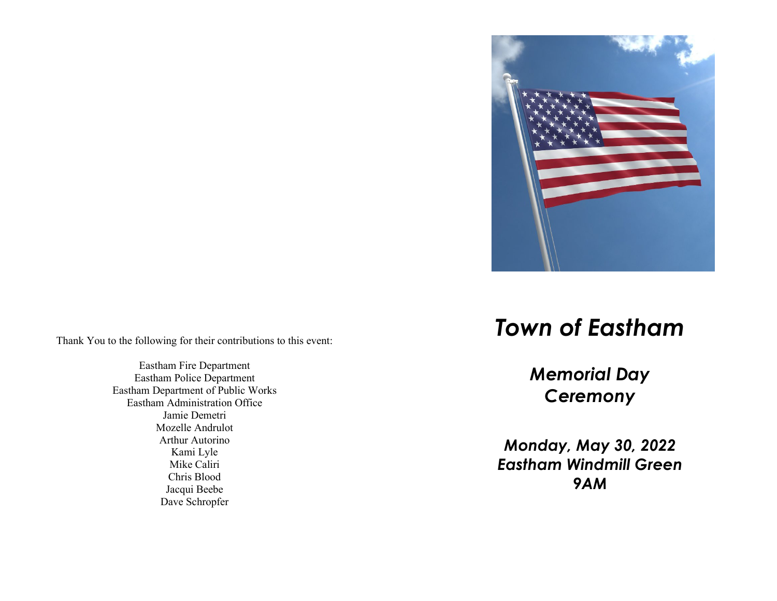

Thank You to the following for their contributions to this event:

Eastham Fire Department Eastham Police Department Eastham Department of Public Works Eastham Administration Office Jamie Demetri Mozelle Andrulot Arthur Autorino Kami Lyle Mike Caliri Chris Blood Jacqui Beebe Dave Schropfer

## *Town of Eastham*

*Memorial Day Ceremony*

*Monday, May 3 0, 2022 Eastham Windmill Green 9AM*